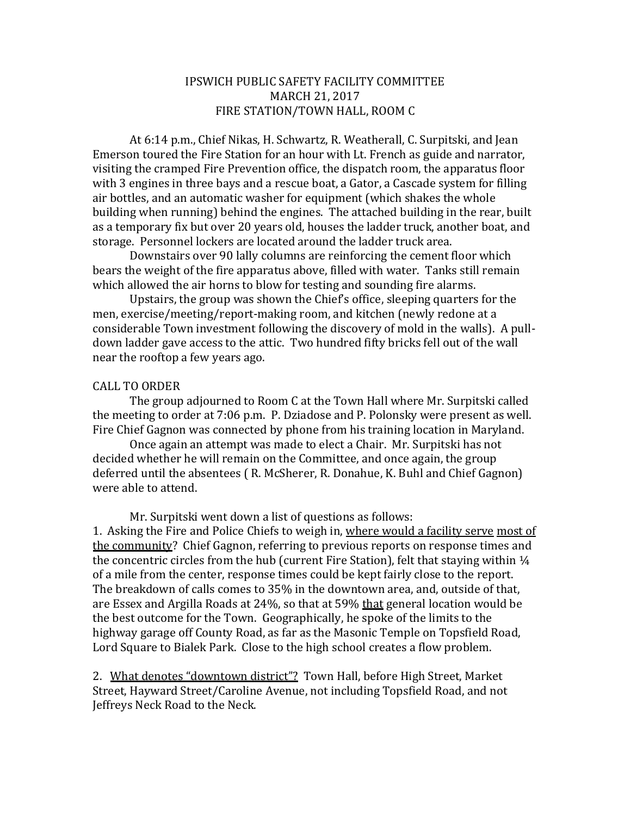#### IPSWICH PUBLIC SAFETY FACILITY COMMITTEE MARCH 21, 2017 FIRE STATION/TOWN HALL, ROOM C

At 6:14 p.m., Chief Nikas, H. Schwartz, R. Weatherall, C. Surpitski, and Jean Emerson toured the Fire Station for an hour with Lt. French as guide and narrator, visiting the cramped Fire Prevention office, the dispatch room, the apparatus floor with 3 engines in three bays and a rescue boat, a Gator, a Cascade system for filling air bottles, and an automatic washer for equipment (which shakes the whole building when running) behind the engines. The attached building in the rear, built as a temporary fix but over 20 years old, houses the ladder truck, another boat, and storage. Personnel lockers are located around the ladder truck area.

Downstairs over 90 lally columns are reinforcing the cement floor which bears the weight of the fire apparatus above, filled with water. Tanks still remain which allowed the air horns to blow for testing and sounding fire alarms.

Upstairs, the group was shown the Chief's office, sleeping quarters for the men, exercise/meeting/report-making room, and kitchen (newly redone at a considerable Town investment following the discovery of mold in the walls). A pulldown ladder gave access to the attic. Two hundred fifty bricks fell out of the wall near the rooftop a few years ago.

#### CALL TO ORDER

The group adjourned to Room C at the Town Hall where Mr. Surpitski called the meeting to order at 7:06 p.m. P. Dziadose and P. Polonsky were present as well. Fire Chief Gagnon was connected by phone from his training location in Maryland.

Once again an attempt was made to elect a Chair. Mr. Surpitski has not decided whether he will remain on the Committee, and once again, the group deferred until the absentees ( R. McSherer, R. Donahue, K. Buhl and Chief Gagnon) were able to attend.

Mr. Surpitski went down a list of questions as follows:

1. Asking the Fire and Police Chiefs to weigh in, where would a facility serve most of the community? Chief Gagnon, referring to previous reports on response times and the concentric circles from the hub (current Fire Station), felt that staying within  $\frac{1}{4}$ of a mile from the center, response times could be kept fairly close to the report. The breakdown of calls comes to 35% in the downtown area, and, outside of that, are Essex and Argilla Roads at 24%, so that at 59% that general location would be the best outcome for the Town. Geographically, he spoke of the limits to the highway garage off County Road, as far as the Masonic Temple on Topsfield Road, Lord Square to Bialek Park. Close to the high school creates a flow problem.

2. What denotes "downtown district"? Town Hall, before High Street, Market Street, Hayward Street/Caroline Avenue, not including Topsfield Road, and not Jeffreys Neck Road to the Neck.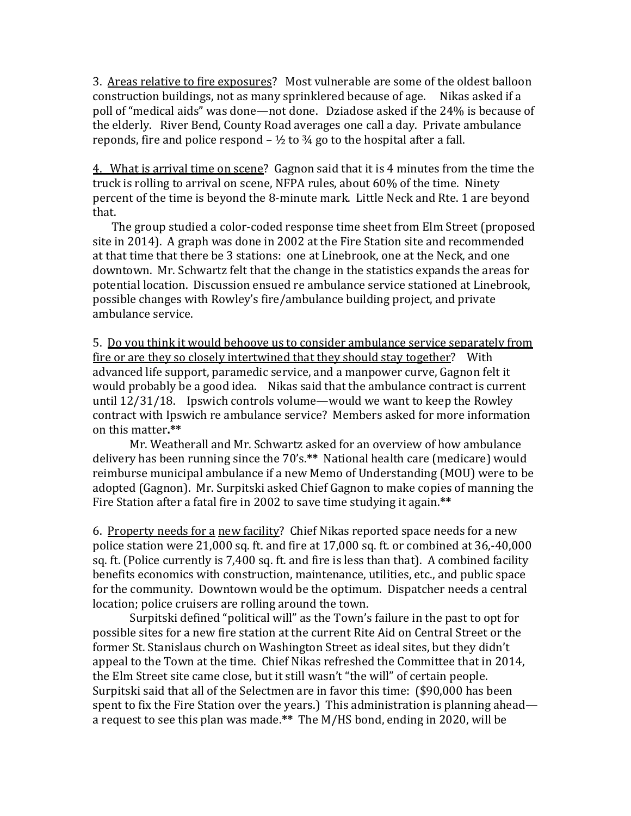3. Areas relative to fire exposures? Most vulnerable are some of the oldest balloon construction buildings, not as many sprinklered because of age. Nikas asked if a poll of "medical aids" was done—not done. Dziadose asked if the 24% is because of the elderly. River Bend, County Road averages one call a day. Private ambulance reponds, fire and police respond  $-$  1/2 to 3/4 go to the hospital after a fall.

4. What is arrival time on scene? Gagnon said that it is 4 minutes from the time the truck is rolling to arrival on scene, NFPA rules, about 60% of the time. Ninety percent of the time is beyond the 8-minute mark. Little Neck and Rte. 1 are beyond that.

 The group studied a color-coded response time sheet from Elm Street (proposed site in 2014). A graph was done in 2002 at the Fire Station site and recommended at that time that there be 3 stations: one at Linebrook, one at the Neck, and one downtown. Mr. Schwartz felt that the change in the statistics expands the areas for potential location. Discussion ensued re ambulance service stationed at Linebrook, possible changes with Rowley's fire/ambulance building project, and private ambulance service.

5. Do you think it would behoove us to consider ambulance service separately from fire or are they so closely intertwined that they should stay together? With advanced life support, paramedic service, and a manpower curve, Gagnon felt it would probably be a good idea. Nikas said that the ambulance contract is current until 12/31/18. Ipswich controls volume—would we want to keep the Rowley contract with Ipswich re ambulance service? Members asked for more information on this matter**.\*\***

Mr. Weatherall and Mr. Schwartz asked for an overview of how ambulance delivery has been running since the 70's.**\*\*** National health care (medicare) would reimburse municipal ambulance if a new Memo of Understanding (MOU) were to be adopted (Gagnon). Mr. Surpitski asked Chief Gagnon to make copies of manning the Fire Station after a fatal fire in 2002 to save time studying it again.**\*\***

6. Property needs for a new facility? Chief Nikas reported space needs for a new police station were 21,000 sq. ft. and fire at 17,000 sq. ft. or combined at 36,-40,000 sq. ft. (Police currently is 7,400 sq. ft. and fire is less than that). A combined facility benefits economics with construction, maintenance, utilities, etc., and public space for the community. Downtown would be the optimum. Dispatcher needs a central location; police cruisers are rolling around the town.

Surpitski defined "political will" as the Town's failure in the past to opt for possible sites for a new fire station at the current Rite Aid on Central Street or the former St. Stanislaus church on Washington Street as ideal sites, but they didn't appeal to the Town at the time. Chief Nikas refreshed the Committee that in 2014, the Elm Street site came close, but it still wasn't "the will" of certain people. Surpitski said that all of the Selectmen are in favor this time: (\$90,000 has been spent to fix the Fire Station over the years.) This administration is planning ahead a request to see this plan was made.**\*\*** The M/HS bond, ending in 2020, will be